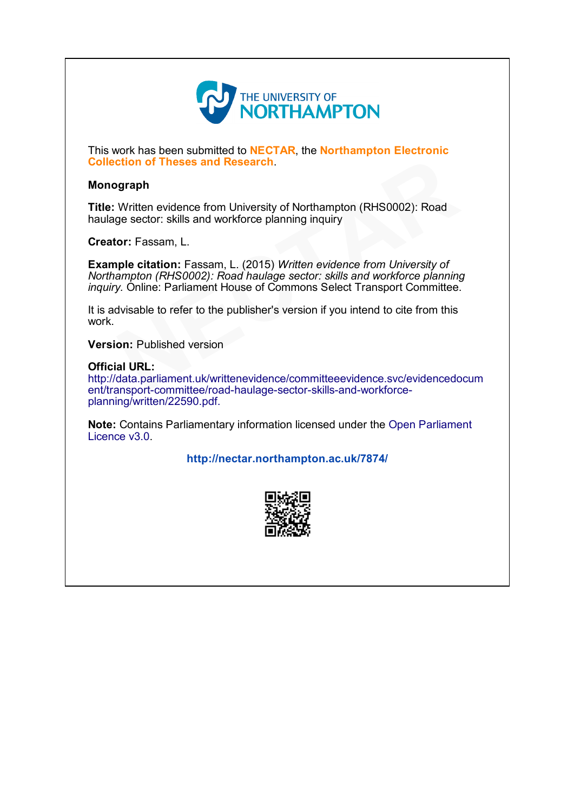

This work has been submitted to **NECTAR**, the **Northampton Electronic** Collection of Theses and Research.

# Monograph

Title: Written evidence from University of Northampton (RHS0002): Road haulage sector: skills and workforce planning inquiry

Creator: Fassam, L.

Example citation: Fassam, L. (2015) Written evidence from University of Northampton (RHS0002): Road haulage sector: skills and workforce planning inquiry. Online: Parliament House of Commons Select Transport Committee. **Contains and Research.**<br> **Subsembly Written evidence from University of [N](http://data.parliament.uk/writtenevidence/committeeevidence.svc/evidencedocument/transport-committee/road-haulage-sector-skills-and-workforce-planning/written/22590.pdf.)orthampton (RHS0002): Road**<br>
ge sector: skills and workforce planning inquiry<br>
or: Fassam, L.<br>
ple citation: Fassam, L. (2015) Written evidence from

It is advisable to refer to the publisher's version if you intend to cite from this work.

Version: Published version

#### Official URL:

http://data.parliament.uk/writtenevidence/committeeevidence.svc/evidencedocum ent/transport-committee/road-haulage-sector-skills-and-workforceplanning/written/22590.pdf.

Note: [Contains Parliamentary information licensed under the Open Parliament](http://www.parliament.uk/site-information/copyright/open-parliament-licence/) Licence v3.0.

<http://nectar.northampton.ac.uk/7874/>

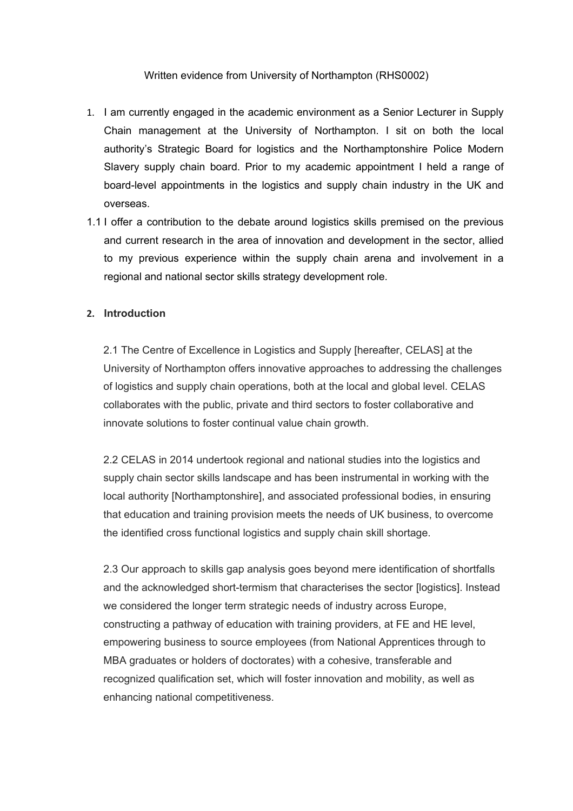# Written evidence from University of Northampton (RHS0002)

- 1. I am currently engaged in the academic environment as a Senior Lecturer in Supply Chain management at the University of Northampton. I sit on both the local authority's Strategic Board for logistics and the Northamptonshire Police Modern Slavery supply chain board. Prior to my academic appointment I held a range of board-level appointments in the logistics and supply chain industry in the UK and overseas.
- 1.1 I offer a contribution to the debate around logistics skills premised on the previous and current research in the area of innovation and development in the sector, allied to my previous experience within the supply chain arena and involvement in a regional and national sector skills strategy development role.

# **2. Introduction**

2.1 The Centre of Excellence in Logistics and Supply [hereafter, CELAS] at the University of Northampton offers innovative approaches to addressing the challenges of logistics and supply chain operations, both at the local and global level. CELAS collaborates with the public, private and third sectors to foster collaborative and innovate solutions to foster continual value chain growth.

2.2 CELAS in 2014 undertook regional and national studies into the logistics and supply chain sector skills landscape and has been instrumental in working with the local authority [Northamptonshire], and associated professional bodies, in ensuring that education and training provision meets the needs of UK business, to overcome the identified cross functional logistics and supply chain skill shortage.

2.3 Our approach to skills gap analysis goes beyond mere identification of shortfalls and the acknowledged short-termism that characterises the sector [logistics]. Instead we considered the longer term strategic needs of industry across Europe, constructing a pathway of education with training providers, at FE and HE level, empowering business to source employees (from National Apprentices through to MBA graduates or holders of doctorates) with a cohesive, transferable and recognized qualification set, which will foster innovation and mobility, as well as enhancing national competitiveness.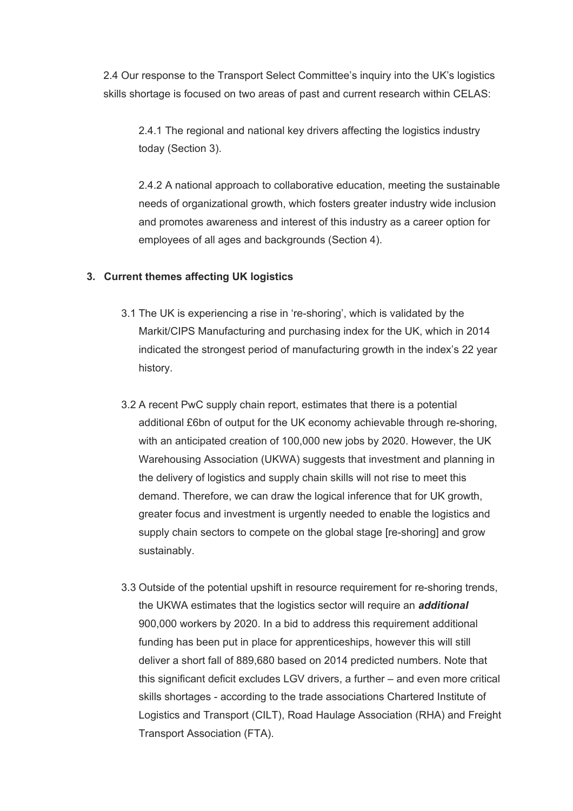2.4 Our response to the Transport Select Committee's inquiry into the UK's logistics skills shortage is focused on two areas of past and current research within CELAS:

2.4.1 The regional and national key drivers affecting the logistics industry today (Section 3).

2.4.2 A national approach to collaborative education, meeting the sustainable needs of organizational growth, which fosters greater industry wide inclusion and promotes awareness and interest of this industry as a career option for employees of all ages and backgrounds (Section 4).

# **3. Current themes affecting UK logistics**

- 3.1 The UK is experiencing a rise in 're-shoring', which is validated by the Markit/CIPS Manufacturing and purchasing index for the UK, which in 2014 indicated the strongest period of manufacturing growth in the index's 22 year history.
- 3.2 A recent PwC supply chain report, estimates that there is a potential additional £6bn of output for the UK economy achievable through re-shoring, with an anticipated creation of 100,000 new jobs by 2020. However, the UK Warehousing Association (UKWA) suggests that investment and planning in the delivery of logistics and supply chain skills will not rise to meet this demand. Therefore, we can draw the logical inference that for UK growth, greater focus and investment is urgently needed to enable the logistics and supply chain sectors to compete on the global stage [re-shoring] and grow sustainably.
- 3.3 Outside of the potential upshift in resource requirement for re-shoring trends, the UKWA estimates that the logistics sector will require an *additional* 900,000 workers by 2020. In a bid to address this requirement additional funding has been put in place for apprenticeships, however this will still deliver a short fall of 889,680 based on 2014 predicted numbers. Note that this significant deficit excludes LGV drivers, a further – and even more critical skills shortages - according to the trade associations Chartered Institute of Logistics and Transport (CILT), Road Haulage Association (RHA) and Freight Transport Association (FTA).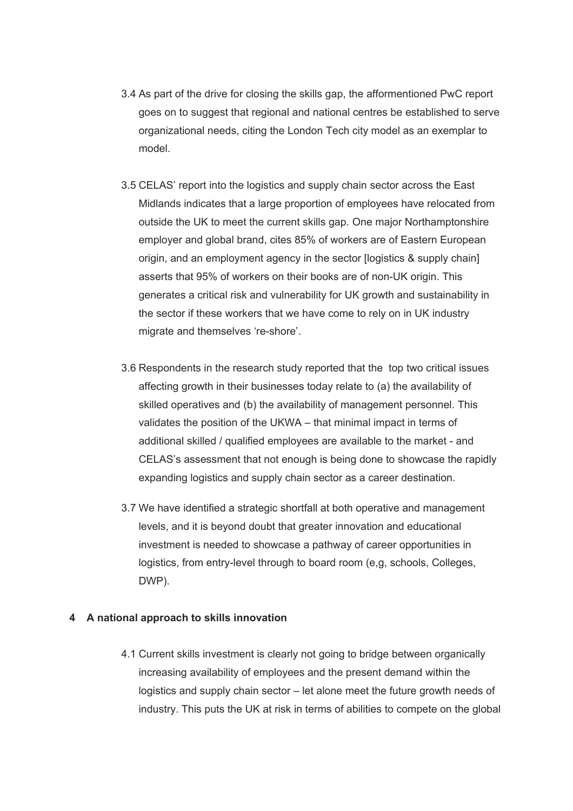- 3.4 As part of the drive for closing the skills gap, the afformentioned PwC report goes on to suggest that regional and national centres be established to serve organizational needs, citing the London Tech city model as an exemplar to model.
- 3.5 CELAS' report into the logistics and supply chain sector across the East Midlands indicates that a large proportion of employees have relocated from outside the UK to meet the current skills gap. One major Northamptonshire employer and global brand, cites 85% of workers are of Eastern European origin, and an employment agency in the sector [logistics & supply chain] asserts that 95% of workers on their books are of non-UK origin. This generates a critical risk and vulnerability for UK growth and sustainability in the sector if these workers that we have come to rely on in UK industry migrate and themselves 're-shore'.
- 3.6 Respondents in the research study reported that the top two critical issues affecting growth in their businesses today relate to (a) the availability of skilled operatives and (b) the availability of management personnel. This validates the position of the UKWA – that minimal impact in terms of additional skilled / qualified employees are available to the market - and CELAS's assessment that not enough is being done to showcase the rapidly expanding logistics and supply chain sector as a career destination.
- 3.7 We have identified a strategic shortfall at both operative and management levels, and it is beyond doubt that greater innovation and educational investment is needed to showcase a pathway of career opportunities in logistics, from entry-level through to board room (e,g, schools, Colleges, DWP).

# **4 A national approach to skills innovation**

4.1 Current skills investment is clearly not going to bridge between organically increasing availability of employees and the present demand within the logistics and supply chain sector – let alone meet the future growth needs of industry. This puts the UK at risk in terms of abilities to compete on the global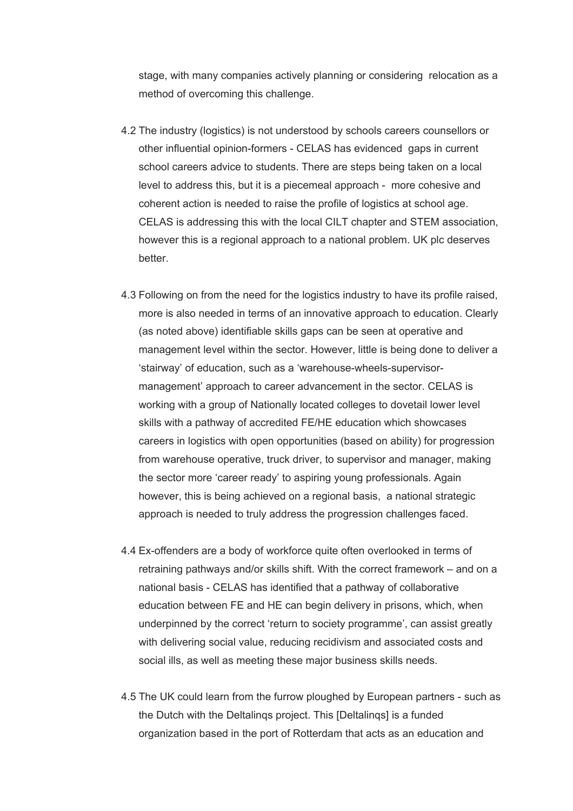stage, with many companies actively planning or considering relocation as a method of overcoming this challenge.

- 4.2 The industry (logistics) is not understood by schools careers counsellors or other influential opinion-formers - CELAS has evidenced gaps in current school careers advice to students. There are steps being taken on a local level to address this, but it is a piecemeal approach - more cohesive and coherent action is needed to raise the profile of logistics at school age. CELAS is addressing this with the local CILT chapter and STEM association, however this is a regional approach to a national problem. UK plc deserves better.
- 4.3 Following on from the need for the logistics industry to have its profile raised, more is also needed in terms of an innovative approach to education. Clearly (as noted above) identifiable skills gaps can be seen at operative and management level within the sector. However, little is being done to deliver a 'stairway' of education, such as a 'warehouse-wheels-supervisormanagement' approach to career advancement in the sector. CELAS is working with a group of Nationally located colleges to dovetail lower level skills with a pathway of accredited FE/HE education which showcases careers in logistics with open opportunities (based on ability) for progression from warehouse operative, truck driver, to supervisor and manager, making the sector more 'career ready' to aspiring young professionals. Again however, this is being achieved on a regional basis, a national strategic approach is needed to truly address the progression challenges faced.
- 4.4 Ex-offenders are a body of workforce quite often overlooked in terms of retraining pathways and/or skills shift. With the correct framework – and on a national basis - CELAS has identified that a pathway of collaborative education between FE and HE can begin delivery in prisons, which, when underpinned by the correct 'return to society programme', can assist greatly with delivering social value, reducing recidivism and associated costs and social ills, as well as meeting these major business skills needs.
- 4.5 The UK could learn from the furrow ploughed by European partners such as the Dutch with the Deltalinqs project. This [Deltalinqs] is a funded organization based in the port of Rotterdam that acts as an education and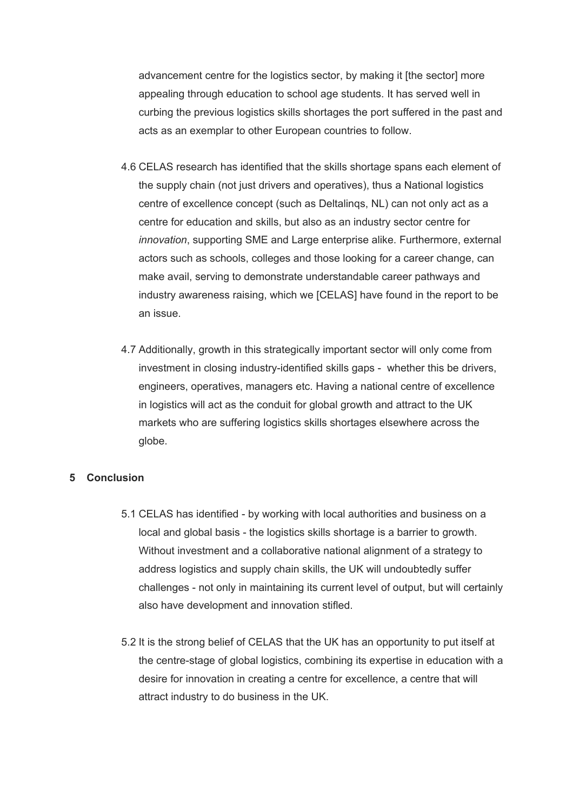advancement centre for the logistics sector, by making it [the sector] more appealing through education to school age students. It has served well in curbing the previous logistics skills shortages the port suffered in the past and acts as an exemplar to other European countries to follow.

- 4.6 CELAS research has identified that the skills shortage spans each element of the supply chain (not just drivers and operatives), thus a National logistics centre of excellence concept (such as Deltalinqs, NL) can not only act as a centre for education and skills, but also as an industry sector centre for *innovation*, supporting SME and Large enterprise alike. Furthermore, external actors such as schools, colleges and those looking for a career change, can make avail, serving to demonstrate understandable career pathways and industry awareness raising, which we [CELAS] have found in the report to be an issue.
- 4.7 Additionally, growth in this strategically important sector will only come from investment in closing industry-identified skills gaps - whether this be drivers, engineers, operatives, managers etc. Having a national centre of excellence in logistics will act as the conduit for global growth and attract to the UK markets who are suffering logistics skills shortages elsewhere across the globe.

# **5 Conclusion**

- 5.1 CELAS has identified by working with local authorities and business on a local and global basis - the logistics skills shortage is a barrier to growth. Without investment and a collaborative national alignment of a strategy to address logistics and supply chain skills, the UK will undoubtedly suffer challenges - not only in maintaining its current level of output, but will certainly also have development and innovation stifled.
- 5.2 It is the strong belief of CELAS that the UK has an opportunity to put itself at the centre-stage of global logistics, combining its expertise in education with a desire for innovation in creating a centre for excellence, a centre that will attract industry to do business in the UK.